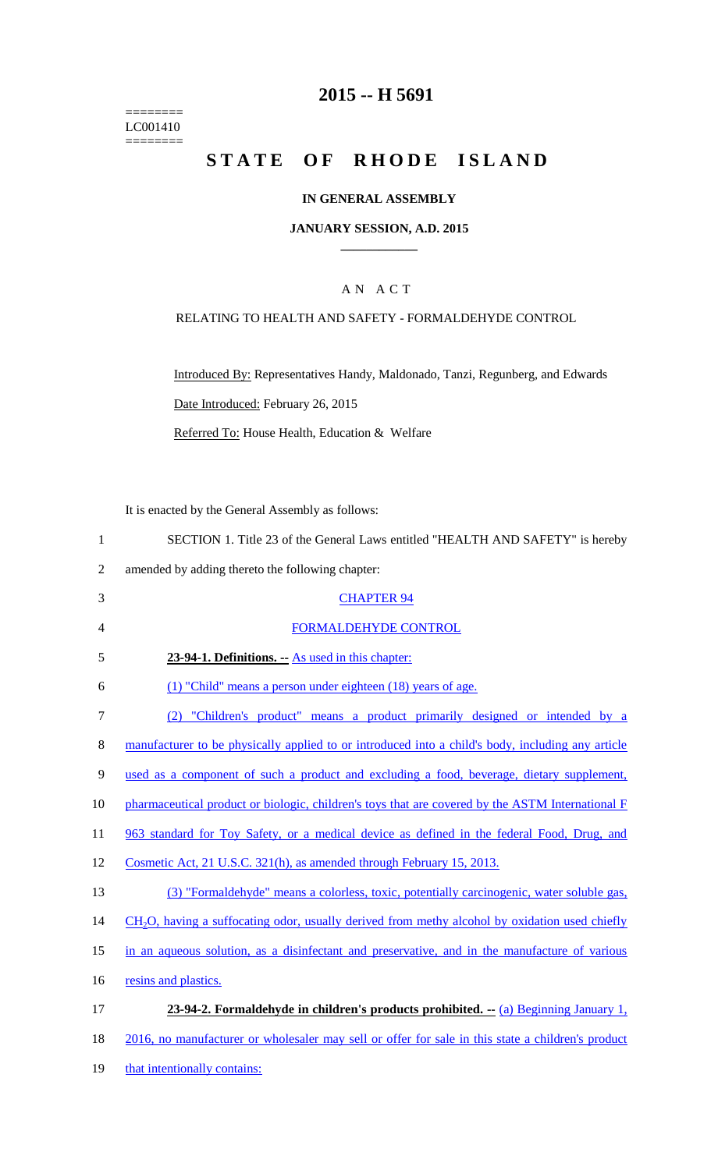======== LC001410  $=$ 

## **2015 -- H 5691**

# STATE OF RHODE ISLAND

## **IN GENERAL ASSEMBLY**

#### **JANUARY SESSION, A.D. 2015 \_\_\_\_\_\_\_\_\_\_\_\_**

### A N A C T

### RELATING TO HEALTH AND SAFETY - FORMALDEHYDE CONTROL

Introduced By: Representatives Handy, Maldonado, Tanzi, Regunberg, and Edwards Date Introduced: February 26, 2015 Referred To: House Health, Education & Welfare

It is enacted by the General Assembly as follows:

| 1              | SECTION 1. Title 23 of the General Laws entitled "HEALTH AND SAFETY" is hereby                    |
|----------------|---------------------------------------------------------------------------------------------------|
| $\overline{2}$ | amended by adding thereto the following chapter:                                                  |
| 3              | <b>CHAPTER 94</b>                                                                                 |
| 4              | <b>FORMALDEHYDE CONTROL</b>                                                                       |
| 5              | 23-94-1. Definitions. - As used in this chapter:                                                  |
| 6              | (1) "Child" means a person under eighteen (18) years of age.                                      |
| $\overline{7}$ | (2) "Children's product" means a product primarily designed or intended by a                      |
| 8              | manufacturer to be physically applied to or introduced into a child's body, including any article |
| 9              | used as a component of such a product and excluding a food, beverage, dietary supplement,         |
| 10             | pharmaceutical product or biologic, children's toys that are covered by the ASTM International F  |
| 11             | 963 standard for Toy Safety, or a medical device as defined in the federal Food, Drug, and        |
| 12             | Cosmetic Act, 21 U.S.C. 321(h), as amended through February 15, 2013.                             |
| 13             | (3) "Formaldehyde" means a colorless, toxic, potentially carcinogenic, water soluble gas,         |
| 14             | $CH2O$ , having a suffocating odor, usually derived from methy alcohol by oxidation used chiefly  |
| 15             | in an aqueous solution, as a disinfectant and preservative, and in the manufacture of various     |
| 16             | resins and plastics.                                                                              |
| 17             | 23-94-2. Formaldehyde in children's products prohibited. -- (a) Beginning January 1,              |
| 18             | 2016, no manufacturer or wholesaler may sell or offer for sale in this state a children's product |
| 19             | that intentionally contains:                                                                      |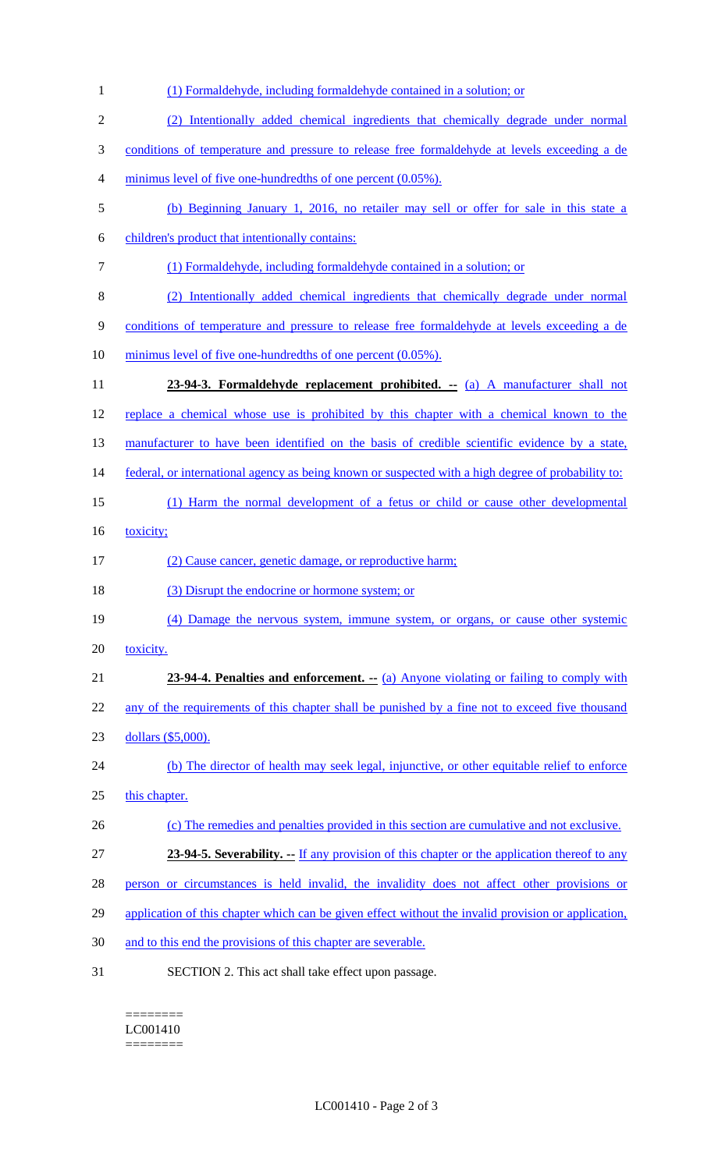| (1) Formaldehyde, including formaldehyde contained in a solution; or                                |
|-----------------------------------------------------------------------------------------------------|
| (2) Intentionally added chemical ingredients that chemically degrade under normal                   |
| conditions of temperature and pressure to release free formaldehyde at levels exceeding a de        |
| minimus level of five one-hundredths of one percent (0.05%).                                        |
| (b) Beginning January 1, 2016, no retailer may sell or offer for sale in this state a               |
| children's product that intentionally contains:                                                     |
| (1) Formaldehyde, including formaldehyde contained in a solution; or                                |
| (2) Intentionally added chemical ingredients that chemically degrade under normal                   |
| conditions of temperature and pressure to release free formaldehyde at levels exceeding a de        |
| minimus level of five one-hundredths of one percent (0.05%).                                        |
| 23-94-3. Formaldehyde replacement prohibited. -- (a) A manufacturer shall not                       |
| replace a chemical whose use is prohibited by this chapter with a chemical known to the             |
| manufacturer to have been identified on the basis of credible scientific evidence by a state,       |
| federal, or international agency as being known or suspected with a high degree of probability to:  |
|                                                                                                     |
| (1) Harm the normal development of a fetus or child or cause other developmental                    |
| toxicity;                                                                                           |
| (2) Cause cancer, genetic damage, or reproductive harm;                                             |
| (3) Disrupt the endocrine or hormone system; or                                                     |
| (4) Damage the nervous system, immune system, or organs, or cause other systemic                    |
| toxicity.                                                                                           |
| 23-94-4. Penalties and enforcement. -- (a) Anyone violating or failing to comply with               |
| any of the requirements of this chapter shall be punished by a fine not to exceed five thousand     |
| dollars (\$5,000).                                                                                  |
| (b) The director of health may seek legal, injunctive, or other equitable relief to enforce         |
| this chapter.                                                                                       |
| (c) The remedies and penalties provided in this section are cumulative and not exclusive.           |
| 23-94-5. Severability. - If any provision of this chapter or the application thereof to any         |
| person or circumstances is held invalid, the invalidity does not affect other provisions or         |
| application of this chapter which can be given effect without the invalid provision or application, |
| and to this end the provisions of this chapter are severable.                                       |
|                                                                                                     |

 $=$ LC001410  $=$